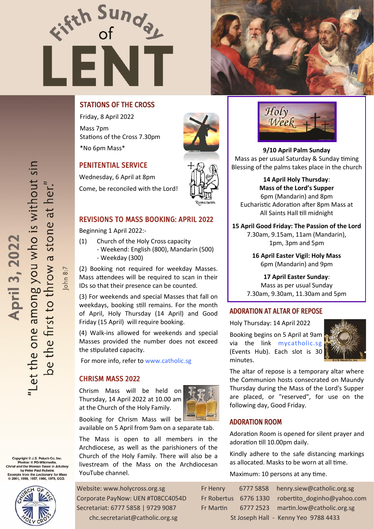



# STATIONS OF THE CROSS

Friday, 8 April 2022 Mass 7pm Stations of the Cross 7.30pm \*No 6pm Mass\*



Beginning 1 April 2022:-

the stipulated capacity.

CHRISM MASS 2022

YouTube channel.

- Weekday (300)

Wednesday, 6 April at 8pm Come, be reconciled with the Lord!

REVISIONS TO MASS BOOKING: APRIL 2022

- Weekend: English (800), Mandarin (500)

(2) Booking not required for weekday Masses. Mass attendees will be required to scan in their

(3) For weekends and special Masses that fall on weekdays, booking still remains. For the month of April, Holy Thursday (14 April) and Good

(4) Walk-ins allowed for weekends and special Masses provided the number does not exceed

(1) Church of the Holy Cross capacity

IDs so that their presence can be counted.

Friday (15 April) will require booking.

For more info, refer to [www.catholic.sg](https://www.catholic.sg/resumption-of-mass48/)

Chrism Mass will be held on Thursday, 14 April 2022 at 10.00 am at the Church of the Holy Family.

Booking for Chrism Mass will be

available on 5 April from 9am on a separate tab. The Mass is open to all members in the Archdiocese, as well as the parishioners of the Church of the Holy Family. There will also be a livestream of the Mass on the Archdiocesan





**9/10 April Palm Sunday**  Mass as per usual Saturday & Sunday timing Blessing of the palms takes place in the church

**14 April Holy Thursday**: **Mass of the Lord's Supper** 6pm (Mandarin) and 8pm Eucharistic Adoration after 8pm Mass at All Saints Hall till midnight

**15 April Good Friday: The Passion of the Lord**  7.30am, 9.15am, 11am (Mandarin), 1pm, 3pm and 5pm

> **16 April Easter Vigil: Holy Mass**  6pm (Mandarin) and 9pm

**17 April Easter Sunday**: Mass as per usual Sunday 7.30am, 9.30am, 11.30am and 5pm

# ADORATION AT ALTAR OF REPOSE

Holy Thursday: 14 April 2022

Booking begins on 5 April at 9am via the link [mycatholic.sg](https://mycatholic.sg/events) (Events Hub). Each slot is 30 minutes.



The altar of repose is a temporary altar where the Communion hosts consecrated on Maundy Thursday during the Mass of the Lord's Supper are placed, or "reserved", for use on the following day, Good Friday.

#### ADORATION ROOM

Adoration Room is opened for silent prayer and adoration till 10.00pm daily.

Kindly adhere to the safe distancing markings as allocated. Masks to be worn at all time.

Maximum: 10 persons at any time.

| Fr Henry    | 6777 5858 henry.siew@catholic.org.sg              |
|-------------|---------------------------------------------------|
|             | Fr Robertus 6776 1330 robertito doginho@yahoo.com |
| Fr Martin I | 6777 2523 martin.low@catholic.org.sg              |
|             | St Joseph Hall - Kenny Yeo 9788 4433              |

"Let the one among you who is without sin be the first to throw a stone at her." April 3, 2022

Copyright © J.S. Paluch Co. Inc.<br>Photos: © PD-Wikimedia,<br>Christ and the Woman Taken in Adultery<br>by Peter Paul Rubens<br>Excerpts from the Lectionary for Mass<br>© 2001, 1998, 1997, 1986, 1970, CCD.



Website: www.holycross.org.sg Corporate PayNow: UEN #T08CC4054D Secretariat: 6777 5858 | 9729 9087 chc.secretariat@catholic.org.sg

John 8:7